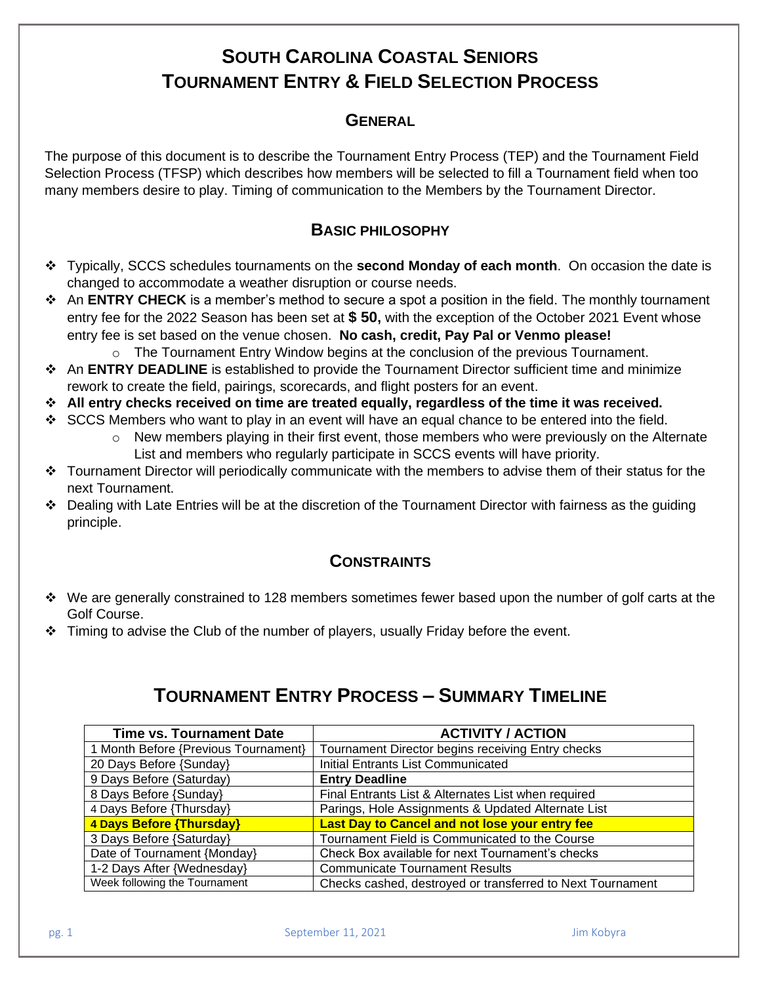# **SOUTH CAROLINA COASTAL SENIORS TOURNAMENT ENTRY & FIELD SELECTION PROCESS**

### **GENERAL**

The purpose of this document is to describe the Tournament Entry Process (TEP) and the Tournament Field Selection Process (TFSP) which describes how members will be selected to fill a Tournament field when too many members desire to play. Timing of communication to the Members by the Tournament Director.

### **BASIC PHILOSOPHY**

- ❖ Typically, SCCS schedules tournaments on the **second Monday of each month**. On occasion the date is changed to accommodate a weather disruption or course needs.
- ❖ An **ENTRY CHECK** is a member's method to secure a spot a position in the field. The monthly tournament entry fee for the 2022 Season has been set at **\$ 50,** with the exception of the October 2021 Event whose entry fee is set based on the venue chosen. **No cash, credit, Pay Pal or Venmo please!** 
	- $\circ$  The Tournament Entry Window begins at the conclusion of the previous Tournament.
- ❖ An **ENTRY DEADLINE** is established to provide the Tournament Director sufficient time and minimize rework to create the field, pairings, scorecards, and flight posters for an event.
- ❖ **All entry checks received on time are treated equally, regardless of the time it was received.**
- $\div$  SCCS Members who want to play in an event will have an equal chance to be entered into the field.
	- o New members playing in their first event, those members who were previously on the Alternate List and members who regularly participate in SCCS events will have priority.
- ❖ Tournament Director will periodically communicate with the members to advise them of their status for the next Tournament.
- ❖ Dealing with Late Entries will be at the discretion of the Tournament Director with fairness as the guiding principle.

#### **CONSTRAINTS**

- ❖ We are generally constrained to 128 members sometimes fewer based upon the number of golf carts at the Golf Course.
- $\div$  Timing to advise the Club of the number of players, usually Friday before the event.

# **TOURNAMENT ENTRY PROCESS – SUMMARY TIMELINE**

| <b>Time vs. Tournament Date</b>      | <b>ACTIVITY / ACTION</b>                                   |
|--------------------------------------|------------------------------------------------------------|
| 1 Month Before {Previous Tournament} | Tournament Director begins receiving Entry checks          |
| 20 Days Before {Sunday}              | <b>Initial Entrants List Communicated</b>                  |
| 9 Days Before (Saturday)             | <b>Entry Deadline</b>                                      |
| 8 Days Before {Sunday}               | Final Entrants List & Alternates List when required        |
| 4 Days Before {Thursday}             | Parings, Hole Assignments & Updated Alternate List         |
| 4 Days Before {Thursday}             | Last Day to Cancel and not lose your entry fee             |
| 3 Days Before {Saturday}             | Tournament Field is Communicated to the Course             |
| Date of Tournament {Monday}          | Check Box available for next Tournament's checks           |
| 1-2 Days After {Wednesday}           | <b>Communicate Tournament Results</b>                      |
| Week following the Tournament        | Checks cashed, destroyed or transferred to Next Tournament |

pg. 1 September 11, 2021 **September 11, 2021** Jim Kobyra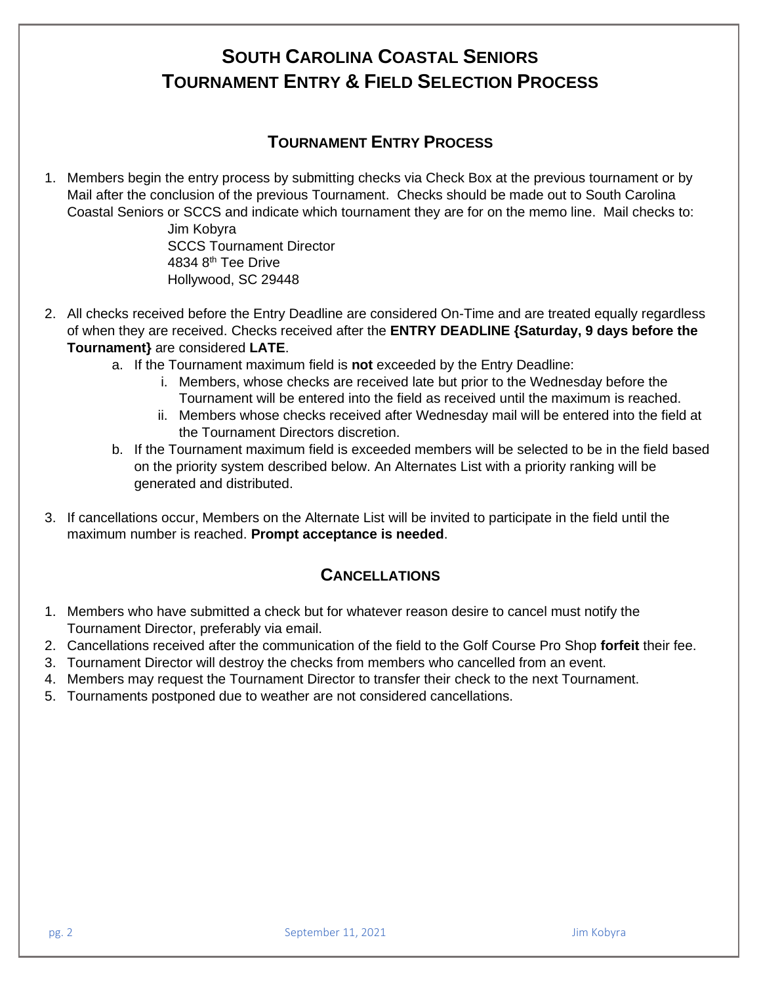# **SOUTH CAROLINA COASTAL SENIORS TOURNAMENT ENTRY & FIELD SELECTION PROCESS**

## **TOURNAMENT ENTRY PROCESS**

1. Members begin the entry process by submitting checks via Check Box at the previous tournament or by Mail after the conclusion of the previous Tournament. Checks should be made out to South Carolina Coastal Seniors or SCCS and indicate which tournament they are for on the memo line. Mail checks to:

> Jim Kobyra SCCS Tournament Director 4834 8th Tee Drive Hollywood, SC 29448

- 2. All checks received before the Entry Deadline are considered On-Time and are treated equally regardless of when they are received. Checks received after the **ENTRY DEADLINE {Saturday, 9 days before the Tournament}** are considered **LATE**.
	- a. If the Tournament maximum field is **not** exceeded by the Entry Deadline:
		- i. Members, whose checks are received late but prior to the Wednesday before the Tournament will be entered into the field as received until the maximum is reached.
		- ii. Members whose checks received after Wednesday mail will be entered into the field at the Tournament Directors discretion.
	- b. If the Tournament maximum field is exceeded members will be selected to be in the field based on the priority system described below. An Alternates List with a priority ranking will be generated and distributed.
- 3. If cancellations occur, Members on the Alternate List will be invited to participate in the field until the maximum number is reached. **Prompt acceptance is needed**.

### **CANCELLATIONS**

- 1. Members who have submitted a check but for whatever reason desire to cancel must notify the Tournament Director, preferably via email.
- 2. Cancellations received after the communication of the field to the Golf Course Pro Shop **forfeit** their fee.
- 3. Tournament Director will destroy the checks from members who cancelled from an event.
- 4. Members may request the Tournament Director to transfer their check to the next Tournament.
- 5. Tournaments postponed due to weather are not considered cancellations.